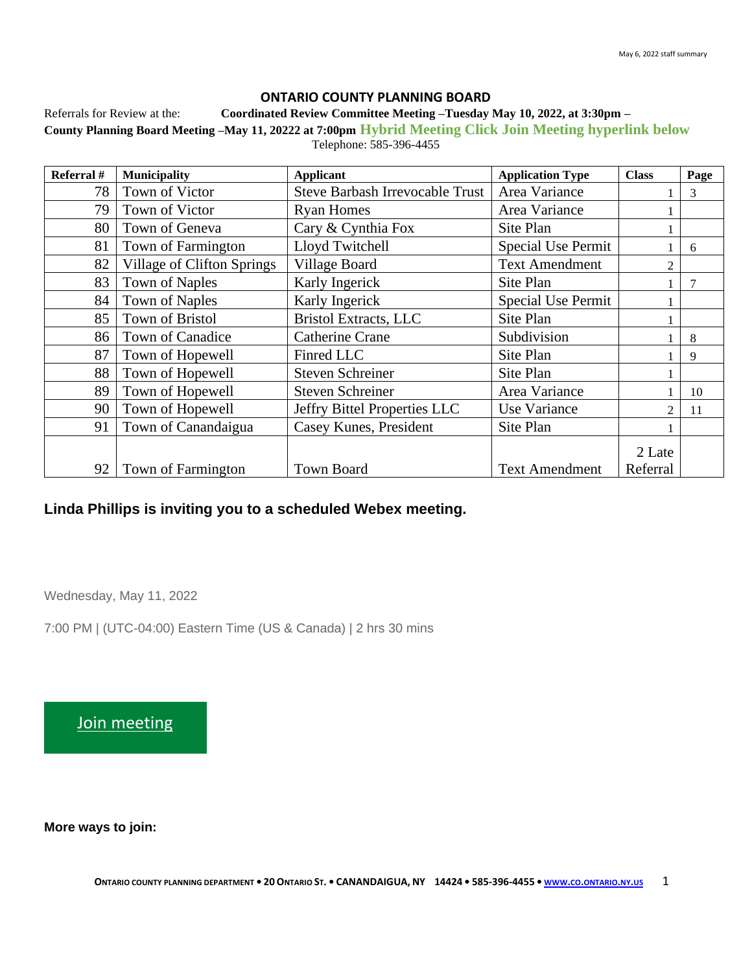### **ONTARIO COUNTY PLANNING BOARD**

Referrals for Review at the: **Coordinated Review Committee Meeting –Tuesday May 10, 2022, at 3:30pm –**

**County Planning Board Meeting –May 11, 20222 at 7:00pm Hybrid Meeting Click Join Meeting hyperlink below** Telephone: 585-396-4455

| Referral # | <b>Municipality</b>        | <b>Applicant</b>                       | <b>Application Type</b>   | <b>Class</b>   | Page |
|------------|----------------------------|----------------------------------------|---------------------------|----------------|------|
| 78         | Town of Victor             | <b>Steve Barbash Irrevocable Trust</b> | Area Variance             |                | 3    |
| 79         | Town of Victor             | <b>Ryan Homes</b>                      | Area Variance             |                |      |
| 80         | Town of Geneva             | Cary & Cynthia Fox                     | Site Plan                 |                |      |
| 81         | Town of Farmington         | Lloyd Twitchell                        | <b>Special Use Permit</b> |                | 6    |
| 82         | Village of Clifton Springs | Village Board                          | <b>Text Amendment</b>     | $\overline{2}$ |      |
| 83         | <b>Town of Naples</b>      | Karly Ingerick                         | Site Plan                 |                |      |
| 84         | <b>Town of Naples</b>      | Karly Ingerick                         | Special Use Permit        |                |      |
| 85         | Town of Bristol            | <b>Bristol Extracts, LLC</b>           | Site Plan                 |                |      |
| 86         | Town of Canadice           | <b>Catherine Crane</b>                 | Subdivision               |                | 8    |
| 87         | Town of Hopewell           | Finred LLC                             | Site Plan                 |                | 9    |
| 88         | Town of Hopewell           | <b>Steven Schreiner</b>                | Site Plan                 |                |      |
| 89         | Town of Hopewell           | <b>Steven Schreiner</b>                | Area Variance             |                | 10   |
| 90         | Town of Hopewell           | Jeffry Bittel Properties LLC           | Use Variance              | $\mathfrak{D}$ | 11   |
| 91         | Town of Canandaigua        | Casey Kunes, President                 | Site Plan                 |                |      |
|            |                            |                                        |                           | 2 Late         |      |
| 92         | Town of Farmington         | <b>Town Board</b>                      | <b>Text Amendment</b>     | Referral       |      |

# **Linda Phillips is inviting you to a scheduled Webex meeting.**

Wednesday, May 11, 2022

7:00 PM | (UTC-04:00) Eastern Time (US & Canada) | 2 hrs 30 mins

[Join meeting](https://ontariocountyny.webex.com/ontariocountyny/j.php?MTID=m3173dc415a7f6337daf6388f4aa41f20)

**More ways to join:**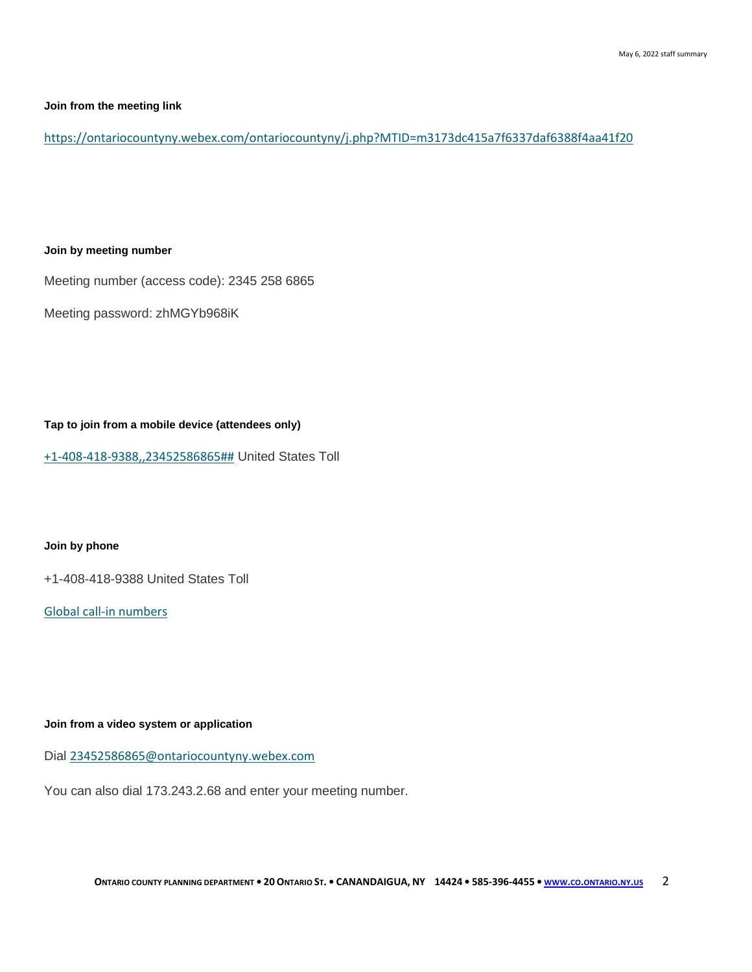#### **Join from the meeting link**

<https://ontariocountyny.webex.com/ontariocountyny/j.php?MTID=m3173dc415a7f6337daf6388f4aa41f20>

#### **Join by meeting number**

Meeting number (access code): 2345 258 6865

Meeting password: zhMGYb968iK

**Tap to join from a mobile device (attendees only)**

[+1-408-418-9388,,23452586865##](tel:%2B1-408-418-9388,,*01*23452586865%23%23*01*) United States Toll

#### **Join by phone**

+1-408-418-9388 United States Toll

[Global call-in numbers](https://ontariocountyny.webex.com/ontariocountyny/globalcallin.php?MTID=m050b43a5591486664e57b6f696ea17bd)

#### **Join from a video system or application**

Dial [23452586865@ontariocountyny.webex.com](%20sip:23452586865@ontariocountyny.webex.com)

You can also dial 173.243.2.68 and enter your meeting number.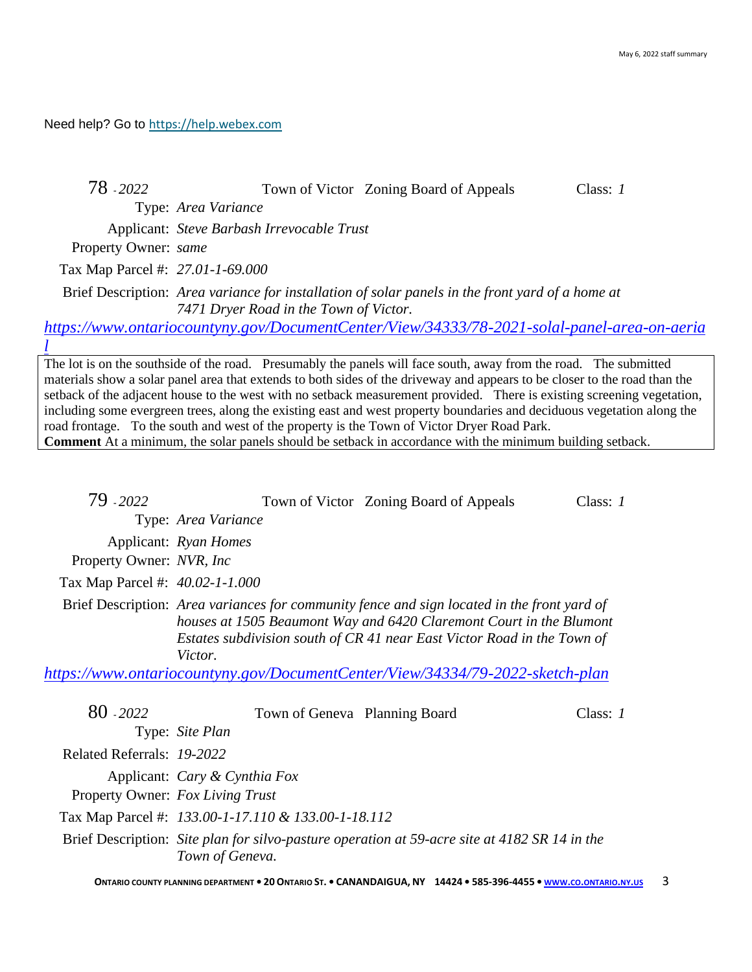Need help? Go to [https://help.webex.com](https://help.webex.com/)

| 78 - 2022                        |                                                     | Town of Victor Zoning Board of Appeals                                                                                                                                                                                                                                                                                                                                                                                                                                                                                                                                                                                                                                                                                   | Class: $1$ |
|----------------------------------|-----------------------------------------------------|--------------------------------------------------------------------------------------------------------------------------------------------------------------------------------------------------------------------------------------------------------------------------------------------------------------------------------------------------------------------------------------------------------------------------------------------------------------------------------------------------------------------------------------------------------------------------------------------------------------------------------------------------------------------------------------------------------------------------|------------|
|                                  | Type: Area Variance                                 |                                                                                                                                                                                                                                                                                                                                                                                                                                                                                                                                                                                                                                                                                                                          |            |
|                                  | Applicant: Steve Barbash Irrevocable Trust          |                                                                                                                                                                                                                                                                                                                                                                                                                                                                                                                                                                                                                                                                                                                          |            |
| Property Owner: same             |                                                     |                                                                                                                                                                                                                                                                                                                                                                                                                                                                                                                                                                                                                                                                                                                          |            |
| Tax Map Parcel #: 27.01-1-69.000 |                                                     |                                                                                                                                                                                                                                                                                                                                                                                                                                                                                                                                                                                                                                                                                                                          |            |
|                                  | 7471 Dryer Road in the Town of Victor.              | Brief Description: Area variance for installation of solar panels in the front yard of a home at                                                                                                                                                                                                                                                                                                                                                                                                                                                                                                                                                                                                                         |            |
|                                  |                                                     | https://www.ontariocountyny.gov/DocumentCenter/View/34333/78-2021-solal-panel-area-on-aeria                                                                                                                                                                                                                                                                                                                                                                                                                                                                                                                                                                                                                              |            |
|                                  |                                                     |                                                                                                                                                                                                                                                                                                                                                                                                                                                                                                                                                                                                                                                                                                                          |            |
|                                  |                                                     | The lot is on the southside of the road. Presumably the panels will face south, away from the road. The submitted<br>materials show a solar panel area that extends to both sides of the driveway and appears to be closer to the road than the<br>setback of the adjacent house to the west with no setback measurement provided. There is existing screening vegetation,<br>including some evergreen trees, along the existing east and west property boundaries and deciduous vegetation along the<br>road frontage. To the south and west of the property is the Town of Victor Dryer Road Park.<br><b>Comment</b> At a minimum, the solar panels should be setback in accordance with the minimum building setback. |            |
|                                  |                                                     |                                                                                                                                                                                                                                                                                                                                                                                                                                                                                                                                                                                                                                                                                                                          |            |
|                                  |                                                     |                                                                                                                                                                                                                                                                                                                                                                                                                                                                                                                                                                                                                                                                                                                          |            |
| 79 - 2022                        |                                                     | Town of Victor Zoning Board of Appeals                                                                                                                                                                                                                                                                                                                                                                                                                                                                                                                                                                                                                                                                                   | Class: $1$ |
|                                  | Type: Area Variance                                 |                                                                                                                                                                                                                                                                                                                                                                                                                                                                                                                                                                                                                                                                                                                          |            |
|                                  | Applicant: Ryan Homes                               |                                                                                                                                                                                                                                                                                                                                                                                                                                                                                                                                                                                                                                                                                                                          |            |
| Property Owner: NVR, Inc.        |                                                     |                                                                                                                                                                                                                                                                                                                                                                                                                                                                                                                                                                                                                                                                                                                          |            |
| Tax Map Parcel #: 40.02-1-1.000  |                                                     |                                                                                                                                                                                                                                                                                                                                                                                                                                                                                                                                                                                                                                                                                                                          |            |
|                                  | Victor.                                             | Brief Description: Area variances for community fence and sign located in the front yard of<br>houses at 1505 Beaumont Way and 6420 Claremont Court in the Blumont<br>Estates subdivision south of CR 41 near East Victor Road in the Town of<br>https://www.ontariocountyny.gov/DocumentCenter/View/34334/79-2022-sketch-plan                                                                                                                                                                                                                                                                                                                                                                                           |            |
|                                  |                                                     |                                                                                                                                                                                                                                                                                                                                                                                                                                                                                                                                                                                                                                                                                                                          |            |
| 80 - 2022                        | Town of Geneva Planning Board                       |                                                                                                                                                                                                                                                                                                                                                                                                                                                                                                                                                                                                                                                                                                                          | Class: $1$ |
|                                  | Type: Site Plan                                     |                                                                                                                                                                                                                                                                                                                                                                                                                                                                                                                                                                                                                                                                                                                          |            |
| Related Referrals: 19-2022       |                                                     |                                                                                                                                                                                                                                                                                                                                                                                                                                                                                                                                                                                                                                                                                                                          |            |
|                                  | Applicant: Cary & Cynthia Fox                       |                                                                                                                                                                                                                                                                                                                                                                                                                                                                                                                                                                                                                                                                                                                          |            |
| Property Owner: Fox Living Trust |                                                     |                                                                                                                                                                                                                                                                                                                                                                                                                                                                                                                                                                                                                                                                                                                          |            |
|                                  | Tax Map Parcel #: 133.00-1-17.110 & 133.00-1-18.112 |                                                                                                                                                                                                                                                                                                                                                                                                                                                                                                                                                                                                                                                                                                                          |            |
|                                  |                                                     |                                                                                                                                                                                                                                                                                                                                                                                                                                                                                                                                                                                                                                                                                                                          |            |

Brief Description: *Site plan for silvo-pasture operation at 59-acre site at 4182 SR 14 in the Town of Geneva.*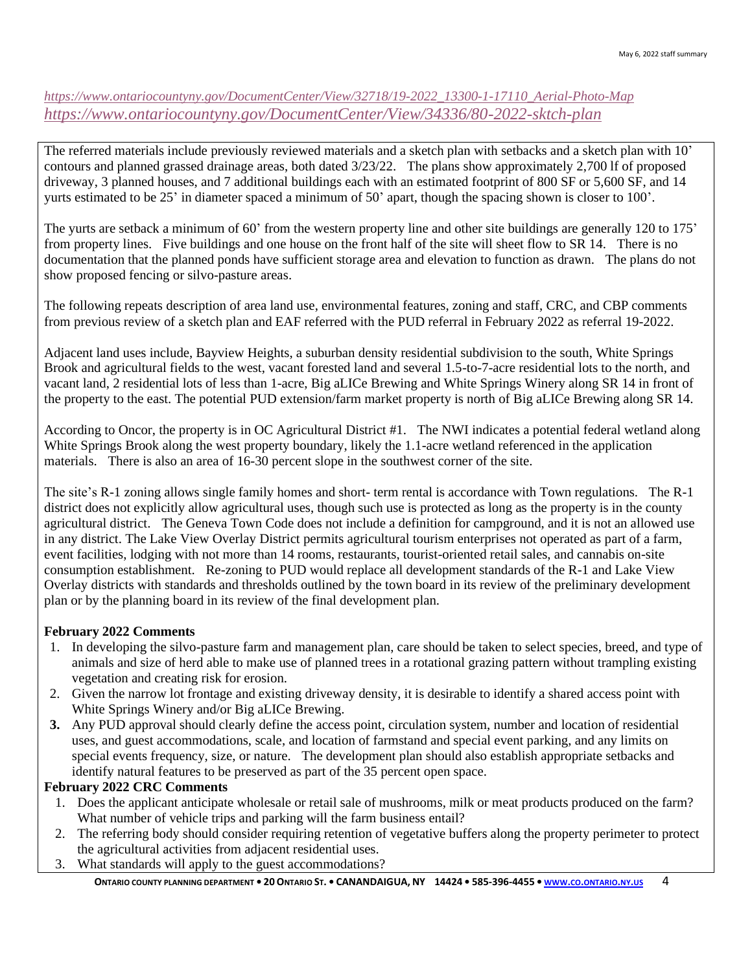# *[https://www.ontariocountyny.gov/DocumentCenter/View/32718/19-2022\\_13300-1-17110\\_Aerial-Photo-Map](https://www.ontariocountyny.gov/DocumentCenter/View/32718/19-2022_13300-1-17110_Aerial-Photo-Map) <https://www.ontariocountyny.gov/DocumentCenter/View/34336/80-2022-sktch-plan>*

The referred materials include previously reviewed materials and a sketch plan with setbacks and a sketch plan with 10' contours and planned grassed drainage areas, both dated 3/23/22. The plans show approximately 2,700 lf of proposed driveway, 3 planned houses, and 7 additional buildings each with an estimated footprint of 800 SF or 5,600 SF, and 14 yurts estimated to be 25' in diameter spaced a minimum of 50' apart, though the spacing shown is closer to 100'.

The yurts are setback a minimum of 60' from the western property line and other site buildings are generally 120 to 175' from property lines. Five buildings and one house on the front half of the site will sheet flow to SR 14. There is no documentation that the planned ponds have sufficient storage area and elevation to function as drawn. The plans do not show proposed fencing or silvo-pasture areas.

The following repeats description of area land use, environmental features, zoning and staff, CRC, and CBP comments from previous review of a sketch plan and EAF referred with the PUD referral in February 2022 as referral 19-2022.

Adjacent land uses include, Bayview Heights, a suburban density residential subdivision to the south, White Springs Brook and agricultural fields to the west, vacant forested land and several 1.5-to-7-acre residential lots to the north, and vacant land, 2 residential lots of less than 1-acre, Big aLICe Brewing and White Springs Winery along SR 14 in front of the property to the east. The potential PUD extension/farm market property is north of Big aLICe Brewing along SR 14.

According to Oncor, the property is in OC Agricultural District #1. The NWI indicates a potential federal wetland along White Springs Brook along the west property boundary, likely the 1.1-acre wetland referenced in the application materials. There is also an area of 16-30 percent slope in the southwest corner of the site.

The site's R-1 zoning allows single family homes and short- term rental is accordance with Town regulations. The R-1 district does not explicitly allow agricultural uses, though such use is protected as long as the property is in the county agricultural district. The Geneva Town Code does not include a definition for campground, and it is not an allowed use in any district. The Lake View Overlay District permits agricultural tourism enterprises not operated as part of a farm, event facilities, lodging with not more than 14 rooms, restaurants, tourist-oriented retail sales, and cannabis on-site consumption establishment. Re-zoning to PUD would replace all development standards of the R-1 and Lake View Overlay districts with standards and thresholds outlined by the town board in its review of the preliminary development plan or by the planning board in its review of the final development plan.

# **February 2022 Comments**

- 1. In developing the silvo-pasture farm and management plan, care should be taken to select species, breed, and type of animals and size of herd able to make use of planned trees in a rotational grazing pattern without trampling existing vegetation and creating risk for erosion.
- 2. Given the narrow lot frontage and existing driveway density, it is desirable to identify a shared access point with White Springs Winery and/or Big aLICe Brewing.
- **3.** Any PUD approval should clearly define the access point, circulation system, number and location of residential uses, and guest accommodations, scale, and location of farmstand and special event parking, and any limits on special events frequency, size, or nature. The development plan should also establish appropriate setbacks and identify natural features to be preserved as part of the 35 percent open space.

# **February 2022 CRC Comments**

- 1. Does the applicant anticipate wholesale or retail sale of mushrooms, milk or meat products produced on the farm? What number of vehicle trips and parking will the farm business entail?
- 2. The referring body should consider requiring retention of vegetative buffers along the property perimeter to protect the agricultural activities from adjacent residential uses.
- 3. What standards will apply to the guest accommodations?

[ONTARIO](http://www.co.ontario.ny.us/) COUNTY PLANNING DEPARTMENT . 20 ONTARIO ST. . CANANDAIGUA, NY 14424 . 585-396-4455 . WWW.CO.ONTARIO.NY.US 4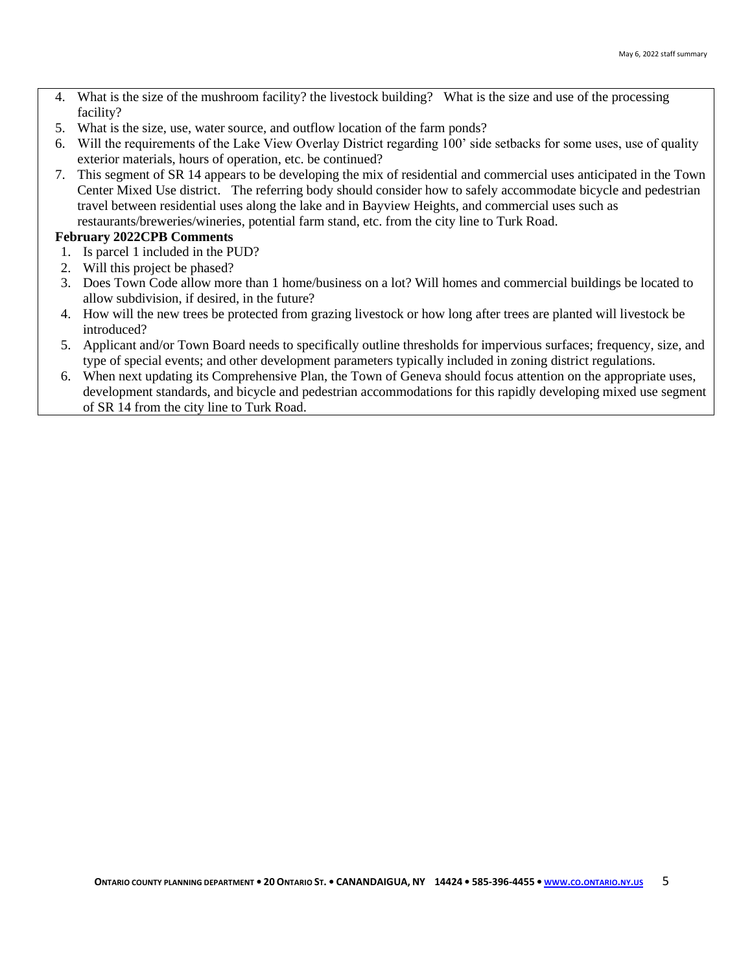- 4. What is the size of the mushroom facility? the livestock building? What is the size and use of the processing facility?
- 5. What is the size, use, water source, and outflow location of the farm ponds?
- 6. Will the requirements of the Lake View Overlay District regarding 100' side setbacks for some uses, use of quality exterior materials, hours of operation, etc. be continued?
- 7. This segment of SR 14 appears to be developing the mix of residential and commercial uses anticipated in the Town Center Mixed Use district. The referring body should consider how to safely accommodate bicycle and pedestrian travel between residential uses along the lake and in Bayview Heights, and commercial uses such as restaurants/breweries/wineries, potential farm stand, etc. from the city line to Turk Road.

#### **February 2022CPB Comments**

- 1. Is parcel 1 included in the PUD?
- 2. Will this project be phased?
- 3. Does Town Code allow more than 1 home/business on a lot? Will homes and commercial buildings be located to allow subdivision, if desired, in the future?
- 4. How will the new trees be protected from grazing livestock or how long after trees are planted will livestock be introduced?
- 5. Applicant and/or Town Board needs to specifically outline thresholds for impervious surfaces; frequency, size, and type of special events; and other development parameters typically included in zoning district regulations.
- 6. When next updating its Comprehensive Plan, the Town of Geneva should focus attention on the appropriate uses, development standards, and bicycle and pedestrian accommodations for this rapidly developing mixed use segment of SR 14 from the city line to Turk Road.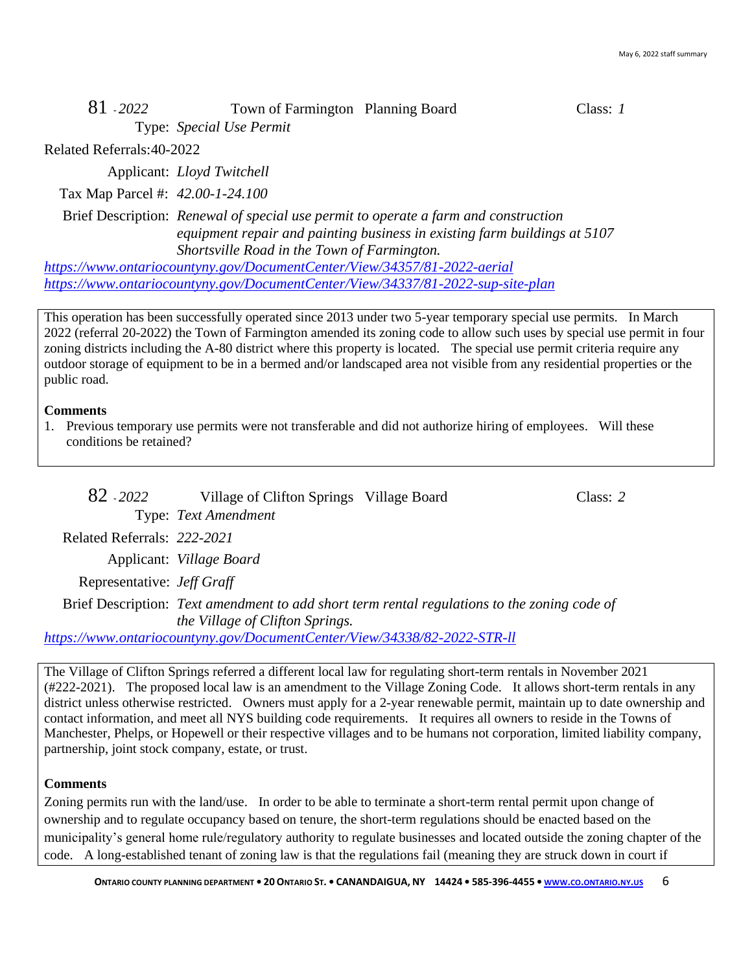| 81 - 2022 | Town of Farmington Planning Board | Class: 1 |
|-----------|-----------------------------------|----------|
|           | Type: Special Use Permit          |          |

Related Referrals:40-2022

Applicant: *Lloyd Twitchell*

Tax Map Parcel #: *42.00-1-24.100*

Brief Description: *Renewal of special use permit to operate a farm and construction equipment repair and painting business in existing farm buildings at 5107 Shortsville Road in the Town of Farmington.*

*<https://www.ontariocountyny.gov/DocumentCenter/View/34357/81-2022-aerial> <https://www.ontariocountyny.gov/DocumentCenter/View/34337/81-2022-sup-site-plan>*

This operation has been successfully operated since 2013 under two 5-year temporary special use permits. In March 2022 (referral 20-2022) the Town of Farmington amended its zoning code to allow such uses by special use permit in four zoning districts including the A-80 district where this property is located. The special use permit criteria require any outdoor storage of equipment to be in a bermed and/or landscaped area not visible from any residential properties or the public road.

#### **Comments**

1. Previous temporary use permits were not transferable and did not authorize hiring of employees. Will these conditions be retained?

| 82 - 2022                                                                                                                              | Village of Clifton Springs Village Board                                                                                                                                                                                                                                                                                        |  | Class: $2$ |
|----------------------------------------------------------------------------------------------------------------------------------------|---------------------------------------------------------------------------------------------------------------------------------------------------------------------------------------------------------------------------------------------------------------------------------------------------------------------------------|--|------------|
|                                                                                                                                        | Type: Text Amendment                                                                                                                                                                                                                                                                                                            |  |            |
| Related Referrals: 222-2021                                                                                                            |                                                                                                                                                                                                                                                                                                                                 |  |            |
|                                                                                                                                        | Applicant: <i>Village Board</i>                                                                                                                                                                                                                                                                                                 |  |            |
| Representative: <i>Jeff Graff</i>                                                                                                      |                                                                                                                                                                                                                                                                                                                                 |  |            |
| Brief Description: Text amendment to add short term rental regulations to the zoning code of<br><i>the Village of Clifton Springs.</i> |                                                                                                                                                                                                                                                                                                                                 |  |            |
|                                                                                                                                        | $\mathcal{L}$ , $\mathcal{L}$ , $\mathcal{L}$ , $\mathcal{L}$ , $\mathcal{L}$ , $\mathcal{L}$ , $\mathcal{L}$ , $\mathcal{L}$ , $\mathcal{L}$ , $\mathcal{L}$ , $\mathcal{L}$ , $\mathcal{L}$ , $\mathcal{L}$ , $\mathcal{L}$ , $\mathcal{L}$ , $\mathcal{L}$ , $\mathcal{L}$ , $\mathcal{L}$ , $\mathcal{L}$ , $\mathcal{L}$ , |  |            |

*<https://www.ontariocountyny.gov/DocumentCenter/View/34338/82-2022-STR-ll>*

The Village of Clifton Springs referred a different local law for regulating short-term rentals in November 2021 (#222-2021). The proposed local law is an amendment to the Village Zoning Code. It allows short-term rentals in any district unless otherwise restricted. Owners must apply for a 2-year renewable permit, maintain up to date ownership and contact information, and meet all NYS building code requirements. It requires all owners to reside in the Towns of Manchester, Phelps, or Hopewell or their respective villages and to be humans not corporation, limited liability company, partnership, joint stock company, estate, or trust.

#### **Comments**

Zoning permits run with the land/use. In order to be able to terminate a short-term rental permit upon change of ownership and to regulate occupancy based on tenure, the short-term regulations should be enacted based on the municipality's general home rule/regulatory authority to regulate businesses and located outside the zoning chapter of the code. A long-established tenant of zoning law is that the regulations fail (meaning they are struck down in court if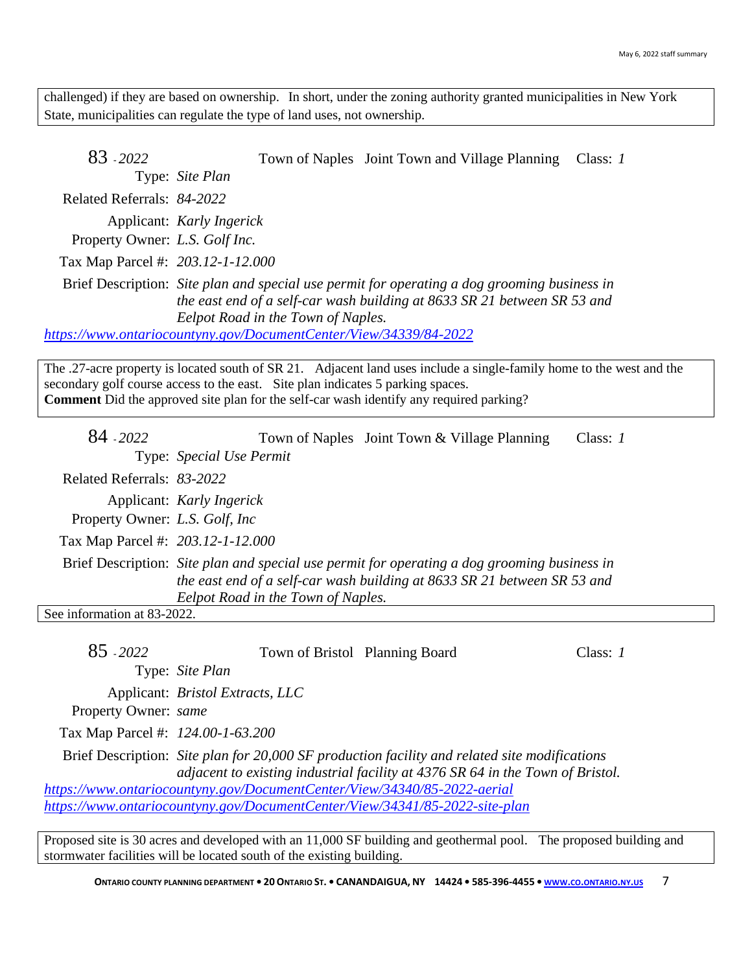challenged) if they are based on ownership. In short, under the zoning authority granted municipalities in New York State, municipalities can regulate the type of land uses, not ownership.

83 - *2022* Town of Naples Joint Town and Village Planning Class: *1* Type: *Site Plan* Related Referrals: *84-2022* Applicant: *Karly Ingerick* Property Owner: *L.S. Golf Inc.* Tax Map Parcel #: *203.12-1-12.000* Brief Description: *Site plan and special use permit for operating a dog grooming business in the east end of a self-car wash building at 8633 SR 21 between SR 53 and Eelpot Road in the Town of Naples. <https://www.ontariocountyny.gov/DocumentCenter/View/34339/84-2022>*

The .27-acre property is located south of SR 21. Adjacent land uses include a single-family home to the west and the secondary golf course access to the east. Site plan indicates 5 parking spaces. **Comment** Did the approved site plan for the self-car wash identify any required parking?

| 84 - 2022                         | Town of Naples Joint Town & Village Planning<br>Class: $I$                                                                                                                                                     |
|-----------------------------------|----------------------------------------------------------------------------------------------------------------------------------------------------------------------------------------------------------------|
|                                   | Type: Special Use Permit                                                                                                                                                                                       |
| Related Referrals: 83-2022        |                                                                                                                                                                                                                |
| Property Owner: L.S. Golf, Inc.   | Applicant: Karly Ingerick                                                                                                                                                                                      |
| Tax Map Parcel #: 203.12-1-12.000 |                                                                                                                                                                                                                |
|                                   | Brief Description: Site plan and special use permit for operating a dog grooming business in<br>the east end of a self-car wash building at 8633 SR 21 between SR 53 and<br>Eelpot Road in the Town of Naples. |
| See information at 83-2022.       |                                                                                                                                                                                                                |
|                                   |                                                                                                                                                                                                                |

| 85 - 2022                                                                   | Town of Bristol Planning Board                                           |                                                                                               | Class: $1$ |  |
|-----------------------------------------------------------------------------|--------------------------------------------------------------------------|-----------------------------------------------------------------------------------------------|------------|--|
|                                                                             | Type: Site Plan                                                          |                                                                                               |            |  |
|                                                                             | Applicant: <i>Bristol Extracts</i> , <i>LLC</i>                          |                                                                                               |            |  |
| Property Owner: same                                                        |                                                                          |                                                                                               |            |  |
| Tax Map Parcel #: 124.00-1-63.200                                           |                                                                          |                                                                                               |            |  |
|                                                                             |                                                                          | Brief Description: Site plan for 20,000 SF production facility and related site modifications |            |  |
|                                                                             |                                                                          | adjacent to existing industrial facility at 4376 SR 64 in the Town of Bristol.                |            |  |
|                                                                             | https://www.ontariocountyny.gov/DocumentCenter/View/34340/85-2022-aerial |                                                                                               |            |  |
| https://www.ontariocountyny.gov/DocumentCenter/View/34341/85-2022-site-plan |                                                                          |                                                                                               |            |  |

Proposed site is 30 acres and developed with an 11,000 SF building and geothermal pool. The proposed building and stormwater facilities will be located south of the existing building.

[ONTARIO](http://www.co.ontario.ny.us/) COUNTY PLANNING DEPARTMENT . 20 ONTARIO ST. . CANANDAIGUA, NY 14424 . 585-396-4455 . WWW.CO.ONTARIO.NY.US 7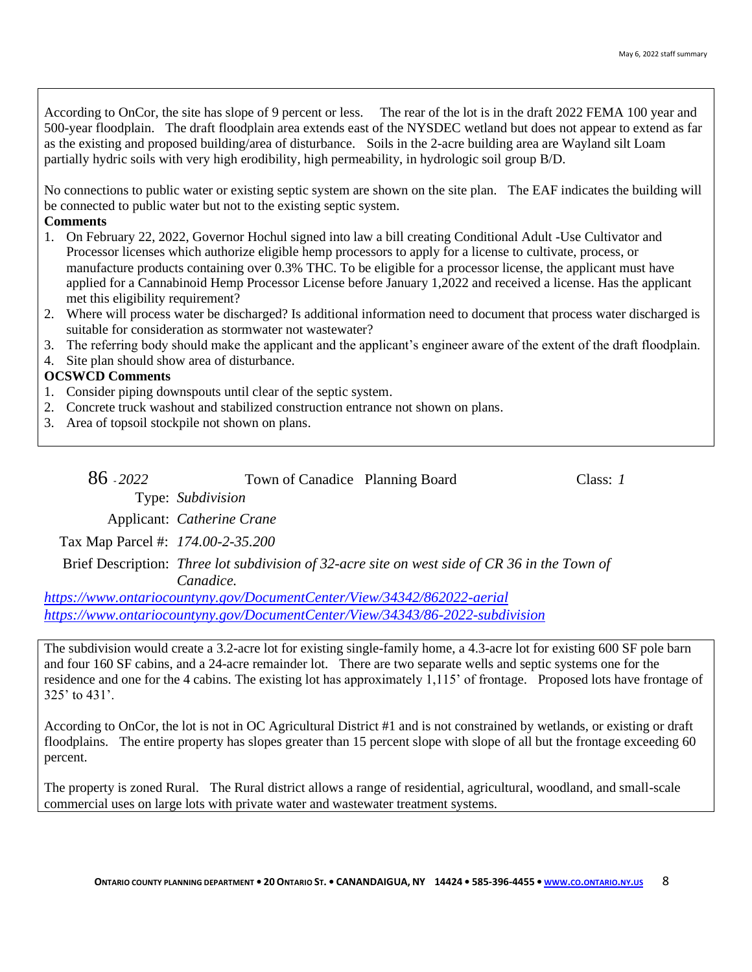According to OnCor, the site has slope of 9 percent or less. The rear of the lot is in the draft 2022 FEMA 100 year and 500-year floodplain. The draft floodplain area extends east of the NYSDEC wetland but does not appear to extend as far as the existing and proposed building/area of disturbance. Soils in the 2-acre building area are Wayland silt Loam partially hydric soils with very high erodibility, high permeability, in hydrologic soil group B/D.

No connections to public water or existing septic system are shown on the site plan. The EAF indicates the building will be connected to public water but not to the existing septic system.

### **Comments**

- 1. On February 22, 2022, Governor Hochul signed into law a bill creating Conditional Adult -Use Cultivator and Processor licenses which authorize eligible hemp processors to apply for a license to cultivate, process, or manufacture products containing over 0.3% THC. To be eligible for a processor license, the applicant must have applied for a Cannabinoid Hemp Processor License before January 1,2022 and received a license. Has the applicant met this eligibility requirement?
- 2. Where will process water be discharged? Is additional information need to document that process water discharged is suitable for consideration as stormwater not wastewater?
- 3. The referring body should make the applicant and the applicant's engineer aware of the extent of the draft floodplain.
- 4. Site plan should show area of disturbance.

### **OCSWCD Comments**

- 1. Consider piping downspouts until clear of the septic system.
- 2. Concrete truck washout and stabilized construction entrance not shown on plans.
- 3. Area of topsoil stockpile not shown on plans.

| 86 - 2022 | Town of Canadice Planning Board   | Class: 1 |
|-----------|-----------------------------------|----------|
|           | Type: Subdivision                 |          |
|           | Applicant: <i>Catherine Crane</i> |          |

Tax Map Parcel #: *174.00-2-35.200*

Brief Description: *Three lot subdivision of 32-acre site on west side of CR 36 in the Town of Canadice.*

*<https://www.ontariocountyny.gov/DocumentCenter/View/34342/862022-aerial> <https://www.ontariocountyny.gov/DocumentCenter/View/34343/86-2022-subdivision>*

The subdivision would create a 3.2-acre lot for existing single-family home, a 4.3-acre lot for existing 600 SF pole barn and four 160 SF cabins, and a 24-acre remainder lot. There are two separate wells and septic systems one for the residence and one for the 4 cabins. The existing lot has approximately 1,115' of frontage. Proposed lots have frontage of 325' to 431'.

According to OnCor, the lot is not in OC Agricultural District #1 and is not constrained by wetlands, or existing or draft floodplains. The entire property has slopes greater than 15 percent slope with slope of all but the frontage exceeding 60 percent.

The property is zoned Rural. The Rural district allows a range of residential, agricultural, woodland, and small-scale commercial uses on large lots with private water and wastewater treatment systems.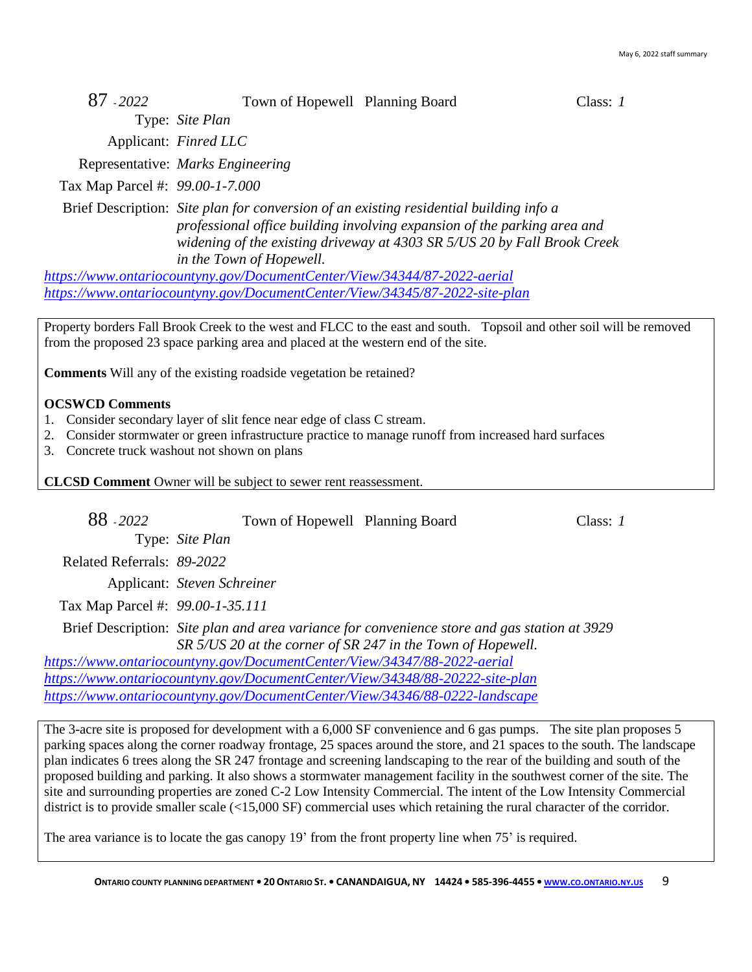| 87 - 2022<br>Town of Hopewell Planning Board |  | Class: $1$ |
|----------------------------------------------|--|------------|
|----------------------------------------------|--|------------|

Type: *Site Plan*

Applicant: *Finred LLC*

Representative: *Marks Engineering*

Tax Map Parcel #: *99.00-1-7.000*

Brief Description: *Site plan for conversion of an existing residential building info a professional office building involving expansion of the parking area and widening of the existing driveway at 4303 SR 5/US 20 by Fall Brook Creek in the Town of Hopewell.*

*<https://www.ontariocountyny.gov/DocumentCenter/View/34344/87-2022-aerial> <https://www.ontariocountyny.gov/DocumentCenter/View/34345/87-2022-site-plan>*

Property borders Fall Brook Creek to the west and FLCC to the east and south. Topsoil and other soil will be removed from the proposed 23 space parking area and placed at the western end of the site.

**Comments** Will any of the existing roadside vegetation be retained?

### **OCSWCD Comments**

- 1. Consider secondary layer of slit fence near edge of class C stream.
- 2. Consider stormwater or green infrastructure practice to manage runoff from increased hard surfaces
- 3. Concrete truck washout not shown on plans

**CLCSD Comment** Owner will be subject to sewer rent reassessment.

88 - *2022* Town of Hopewell Planning Board Class: *1* Type: *Site Plan* Related Referrals: *89-2022* Applicant: *Steven Schreiner* Tax Map Parcel #: *99.00-1-35.111*

Brief Description: *Site plan and area variance for convenience store and gas station at 3929 SR 5/US 20 at the corner of SR 247 in the Town of Hopewell.*

*<https://www.ontariocountyny.gov/DocumentCenter/View/34347/88-2022-aerial> <https://www.ontariocountyny.gov/DocumentCenter/View/34348/88-20222-site-plan> <https://www.ontariocountyny.gov/DocumentCenter/View/34346/88-0222-landscape>*

The 3-acre site is proposed for development with a 6,000 SF convenience and 6 gas pumps. The site plan proposes 5 parking spaces along the corner roadway frontage, 25 spaces around the store, and 21 spaces to the south. The landscape plan indicates 6 trees along the SR 247 frontage and screening landscaping to the rear of the building and south of the proposed building and parking. It also shows a stormwater management facility in the southwest corner of the site. The site and surrounding properties are zoned C-2 Low Intensity Commercial. The intent of the Low Intensity Commercial district is to provide smaller scale (<15,000 SF) commercial uses which retaining the rural character of the corridor.

The area variance is to locate the gas canopy 19' from the front property line when 75' is required.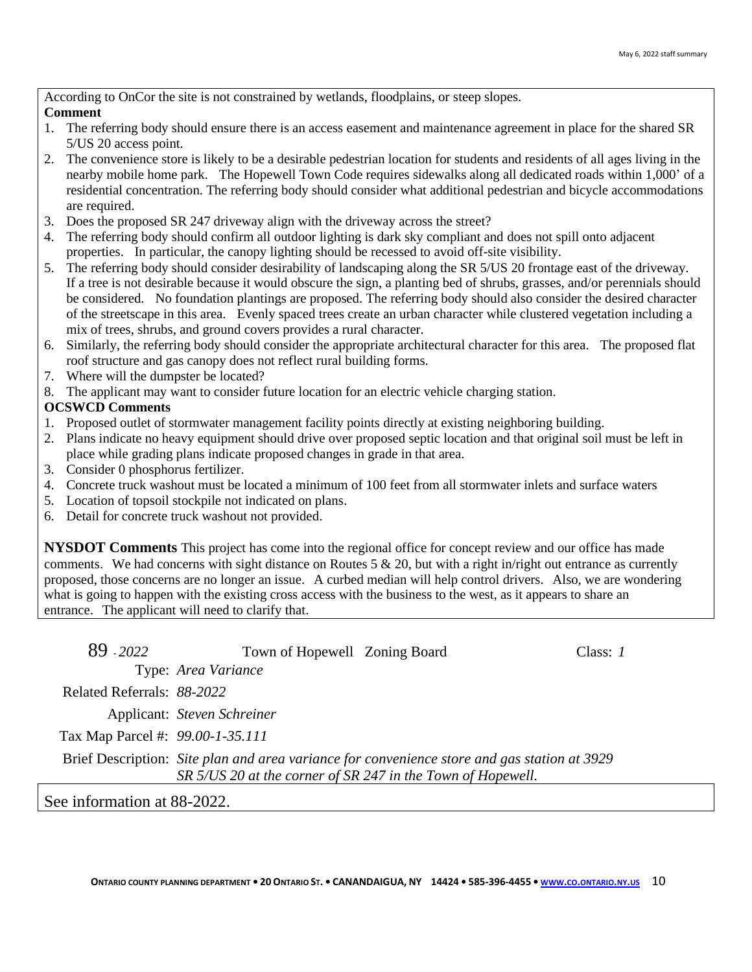According to OnCor the site is not constrained by wetlands, floodplains, or steep slopes.

### **Comment**

- 1. The referring body should ensure there is an access easement and maintenance agreement in place for the shared SR 5/US 20 access point.
- 2. The convenience store is likely to be a desirable pedestrian location for students and residents of all ages living in the nearby mobile home park. The Hopewell Town Code requires sidewalks along all dedicated roads within 1,000' of a residential concentration. The referring body should consider what additional pedestrian and bicycle accommodations are required.
- 3. Does the proposed SR 247 driveway align with the driveway across the street?
- 4. The referring body should confirm all outdoor lighting is dark sky compliant and does not spill onto adjacent properties. In particular, the canopy lighting should be recessed to avoid off-site visibility.
- 5. The referring body should consider desirability of landscaping along the SR 5/US 20 frontage east of the driveway. If a tree is not desirable because it would obscure the sign, a planting bed of shrubs, grasses, and/or perennials should be considered. No foundation plantings are proposed. The referring body should also consider the desired character of the streetscape in this area. Evenly spaced trees create an urban character while clustered vegetation including a mix of trees, shrubs, and ground covers provides a rural character.
- 6. Similarly, the referring body should consider the appropriate architectural character for this area. The proposed flat roof structure and gas canopy does not reflect rural building forms.
- 7. Where will the dumpster be located?
- 8. The applicant may want to consider future location for an electric vehicle charging station.

# **OCSWCD Comments**

- 1. Proposed outlet of stormwater management facility points directly at existing neighboring building.
- 2. Plans indicate no heavy equipment should drive over proposed septic location and that original soil must be left in place while grading plans indicate proposed changes in grade in that area.
- 3. Consider 0 phosphorus fertilizer.
- 4. Concrete truck washout must be located a minimum of 100 feet from all stormwater inlets and surface waters
- 5. Location of topsoil stockpile not indicated on plans.
- 6. Detail for concrete truck washout not provided.

**NYSDOT Comments** This project has come into the regional office for concept review and our office has made comments. We had concerns with sight distance on Routes  $5 \& 20$ , but with a right in/right out entrance as currently proposed, those concerns are no longer an issue. A curbed median will help control drivers. Also, we are wondering what is going to happen with the existing cross access with the business to the west, as it appears to share an entrance. The applicant will need to clarify that.

| 89 - 2022                                                                                                                                                   | Town of Hopewell Zoning Board |  | Class: I |
|-------------------------------------------------------------------------------------------------------------------------------------------------------------|-------------------------------|--|----------|
|                                                                                                                                                             | Type: Area Variance           |  |          |
| Related Referrals: 88-2022                                                                                                                                  |                               |  |          |
|                                                                                                                                                             | Applicant: Steven Schreiner   |  |          |
| Tax Map Parcel #: 99.00-1-35.111                                                                                                                            |                               |  |          |
| Brief Description: Site plan and area variance for convenience store and gas station at 3929<br>SR 5/US 20 at the corner of SR 247 in the Town of Hopewell. |                               |  |          |
|                                                                                                                                                             |                               |  |          |

See information at 88-2022.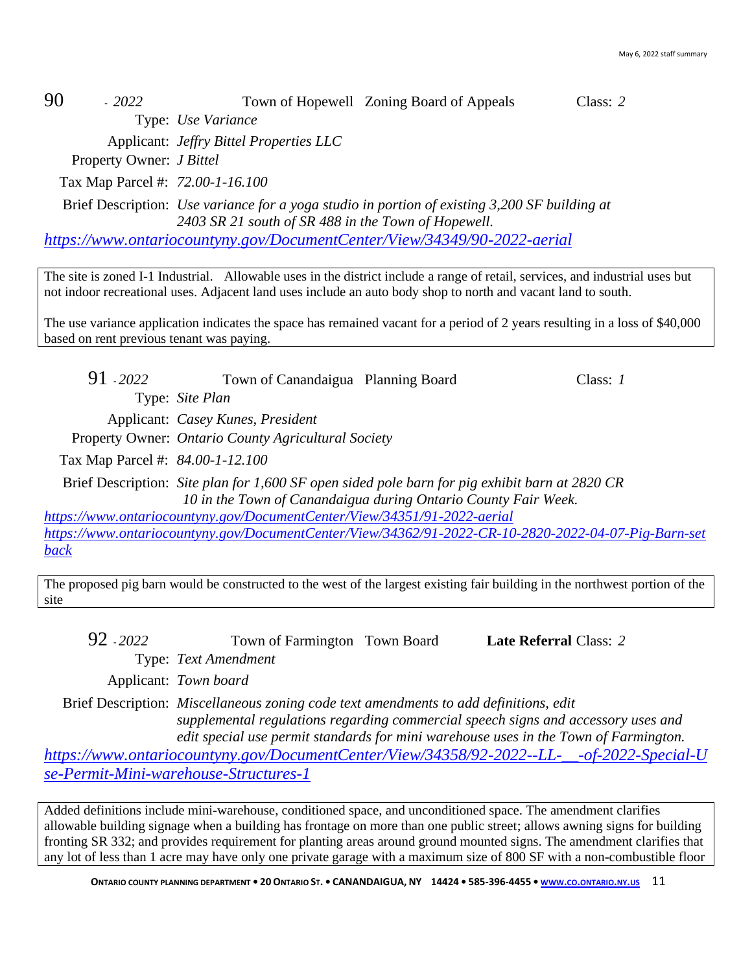# 90 - *2022* Town of Hopewell Zoning Board of Appeals Class: *2*

Type: *Use Variance*

Applicant: *Jeffry Bittel Properties LLC*

Property Owner: *J Bittel*

Tax Map Parcel #: *72.00-1-16.100*

Brief Description: *Use variance for a yoga studio in portion of existing 3,200 SF building at 2403 SR 21 south of SR 488 in the Town of Hopewell.*

*<https://www.ontariocountyny.gov/DocumentCenter/View/34349/90-2022-aerial>*

The site is zoned I-1 Industrial. Allowable uses in the district include a range of retail, services, and industrial uses but not indoor recreational uses. Adjacent land uses include an auto body shop to north and vacant land to south.

The use variance application indicates the space has remained vacant for a period of 2 years resulting in a loss of \$40,000 based on rent previous tenant was paying.

91 - *2022* Town of Canandaigua Planning Board Class: *1* Type: *Site Plan* Applicant: *Casey Kunes, President* Property Owner: *Ontario County Agricultural Society* Tax Map Parcel #: *84.00-1-12.100* Brief Description: *Site plan for 1,600 SF open sided pole barn for pig exhibit barn at 2820 CR 10 in the Town of Canandaigua during Ontario County Fair Week.*

*<https://www.ontariocountyny.gov/DocumentCenter/View/34351/91-2022-aerial> [https://www.ontariocountyny.gov/DocumentCenter/View/34362/91-2022-CR-10-2820-2022-04-07-Pig-Barn-set](https://www.ontariocountyny.gov/DocumentCenter/View/34362/91-2022-CR-10-2820-2022-04-07-Pig-Barn-setback) [back](https://www.ontariocountyny.gov/DocumentCenter/View/34362/91-2022-CR-10-2820-2022-04-07-Pig-Barn-setback)*

The proposed pig barn would be constructed to the west of the largest existing fair building in the northwest portion of the site

92 - *2022* Town of Farmington Town Board **Late Referral** Class: *2* Type: *Text Amendment*

Applicant: *Town board*

Brief Description: *Miscellaneous zoning code text amendments to add definitions, edit supplemental regulations regarding commercial speech signs and accessory uses and edit special use permit standards for mini warehouse uses in the Town of Farmington.*

*[https://www.ontariocountyny.gov/DocumentCenter/View/34358/92-2022--LL-\\_\\_-of-2022-Special-U](https://www.ontariocountyny.gov/DocumentCenter/View/34358/92-2022--LL-__-of-2022-Special-Use-Permit-Mini-warehouse-Structures-1) [se-Permit-Mini-warehouse-Structures-1](https://www.ontariocountyny.gov/DocumentCenter/View/34358/92-2022--LL-__-of-2022-Special-Use-Permit-Mini-warehouse-Structures-1)*

Added definitions include mini-warehouse, conditioned space, and unconditioned space. The amendment clarifies allowable building signage when a building has frontage on more than one public street; allows awning signs for building fronting SR 332; and provides requirement for planting areas around ground mounted signs. The amendment clarifies that any lot of less than 1 acre may have only one private garage with a maximum size of 800 SF with a non-combustible floor